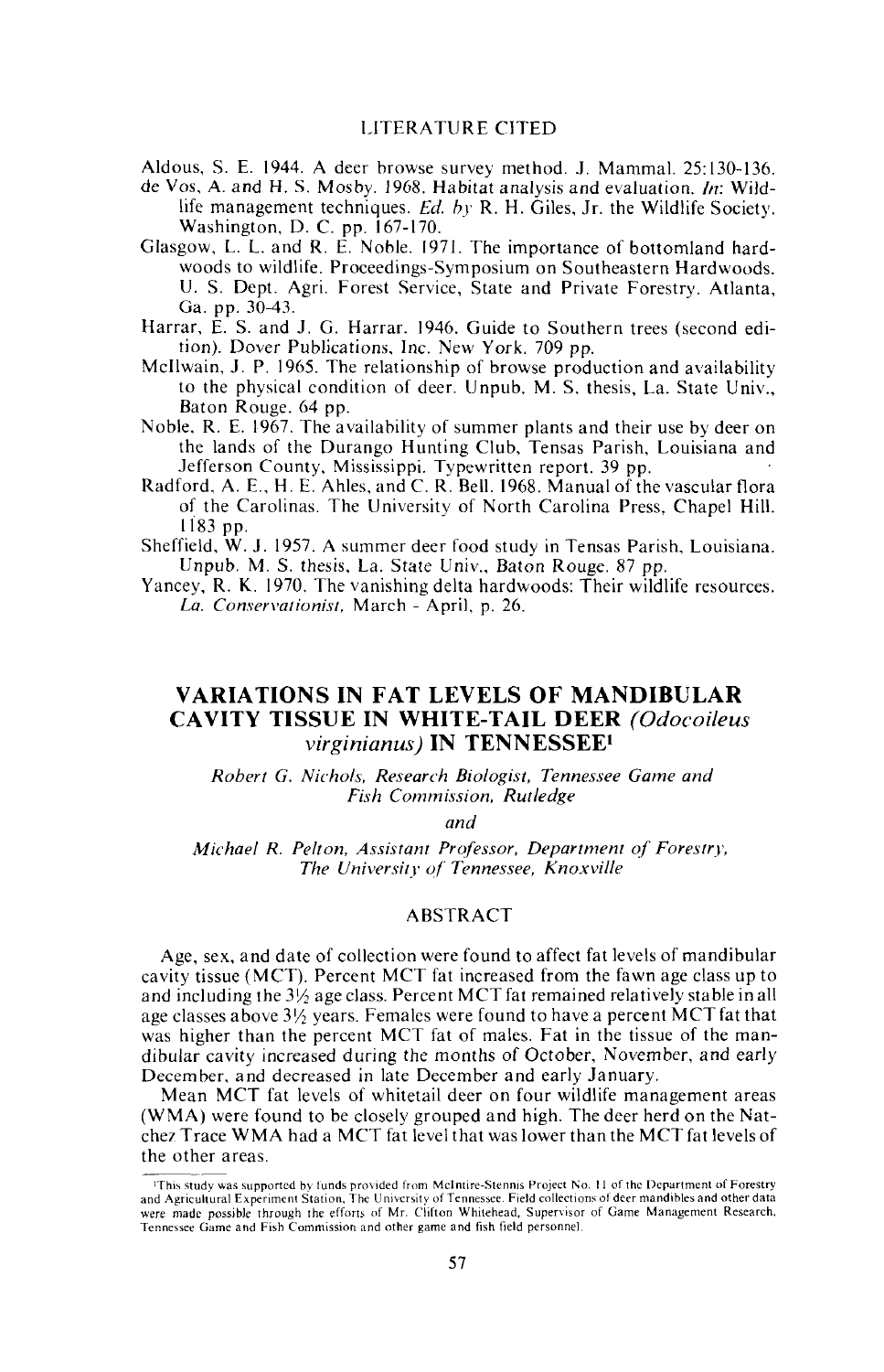Aldous, S. E. 1944. A deer browse survey method. J. Mammal. 25:130-136.

- de Vos, A. and H. S. Mosby. 1968. Habitat analysis and evaluation. *In:* Wildlife management techniques. *Ed. hy* R. H. Giles, Jr. the Wildlife Society. Washington, D. C. pp. 167-170.
- Glasgow, L. L. and R. E. Noble. 1971. The importance of bottomland hardwoods to wildlife. Proceedings-Symposium on Southeastern Hardwoods. U. S. Dept. Agri. Forest Service, State and Private Forestry. Atlanta, Ga. pp. 30-43.
- Harrar, E. S. and J. G. Harrar. 1946. Guide to Southern trees (second edition). Dover Publications, Inc. New York. 709 pp.
- Mcilwain, J. P. 1965. The relationship of browse production and availability to the physical condition of deer. Unpub. M. S. thesis, La. State Univ., Baton Rouge. 64 pp.
- Noble, R. E. 1967. The availability of summer plants and their use by deer on the lands of the Durango Hunting Club, Tensas Parish, Louisiana and Jefferson County, Mississippi. Typewritten report. 39 pp.
- Radford, A. E., H. E. Ahles, and C. R. Bell. 1968. Manual of the vascular flora of the Carolinas. The University of North Carolina Press, Chapel Hill. 1183 pp.
- Sheffield, W. J. 1957. A summer deer food study in Tensas Parish, Louisiana. Unpub. M. S. thesis, La. State Univ., Baton Rouge. 87 pp.
- Yancey, R. K. 1970. The vanishing delta hardwoods: Their wildlife resources. La. Conservationist, March - April, p. 26.

# VARIATIONS IN FAT LEVELS OF MANDIBULAR CAVITY TISSUE IN WHITE-TAIL DEER *(Odocoileus virginianus)* IN TENNESSEEl

*Robert* G. *Nichols, Research Biologist, Tennessee Game and Fish Commission. Rutledge*

*and*

*Michael R. Pelton, Assistant Professor. Department of Forestry. The University o{ Tennessee, Knoxville*

## ABSTRACT

Age, sex, and date of collection were found to affect fat levels of mandibular cavity tissue (MCT). Percent MCT fat increased from the fawn age class up to and including the  $3\frac{1}{2}$  age class. Percent MCT fat remained relatively stable in all age classes above  $3\frac{1}{2}$  years. Females were found to have a percent MCT fat that was higher than the percent MCT fat of males. Fat in the tissue of the mandibular cavity increased during the months of October, November, and early December, and decreased in late December and early January.

Mean MCT fat levels of whitetail deer on four wildlife management areas (WMA) were found to be closely grouped and high. The deer herd on the Natchez Trace WMA had a MCT fat level that was lower than the MCT fat levels of the other areas.

This study was supported by funds provided from McIntire-Stennis Project No. 11 of the Department of Forestry<br>and Agricultural Experiment Station, The University of Tennessee. Field collections of deer mandibles and other were made possible through the efforts of Mr. Clifton Whitehead. Supervisor of Game Management Research. Tennessee Game and Fish Commission and other game and fish field personnel.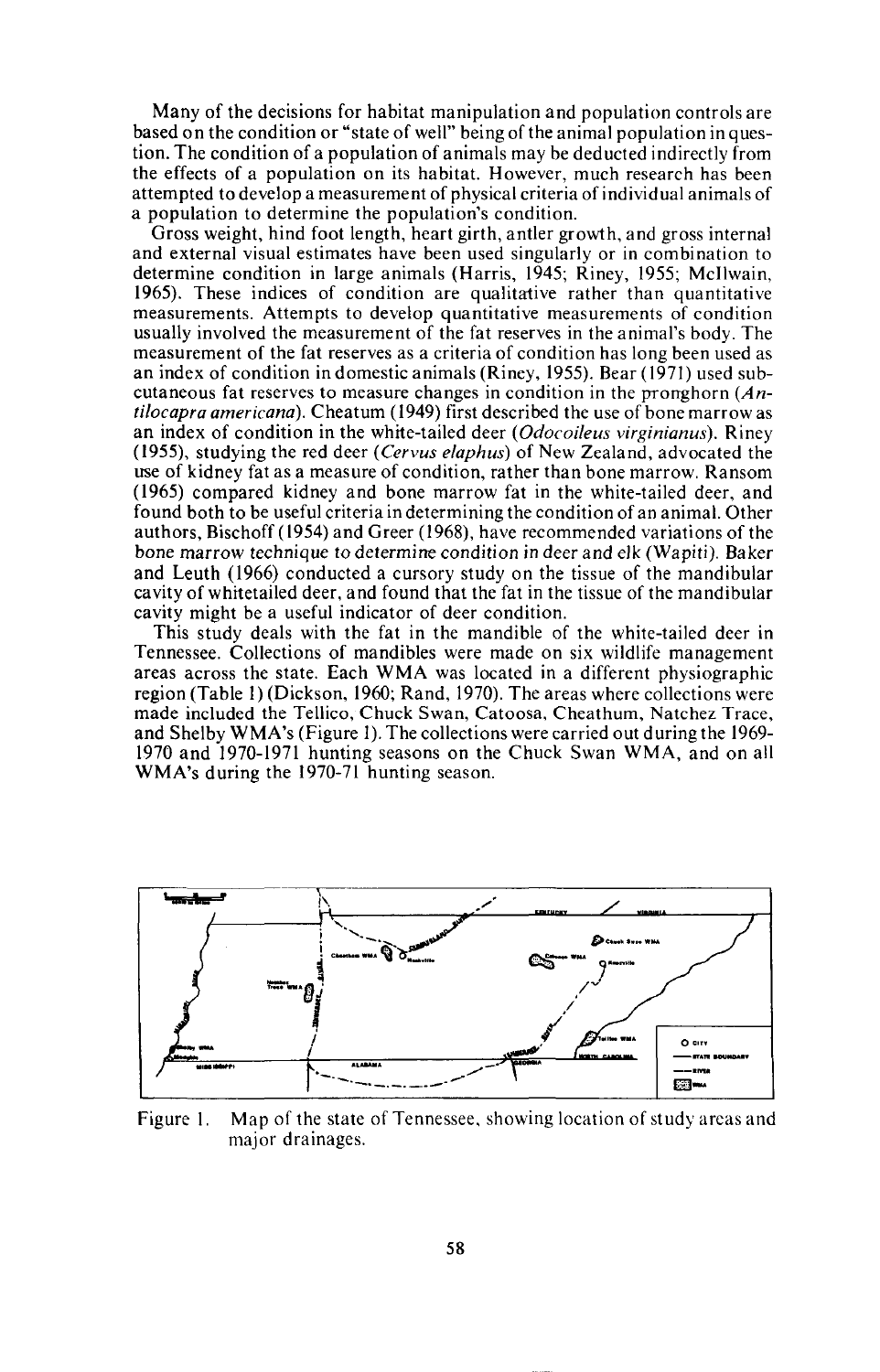Many of the decisions for habitat manipulation and population controls are based on the condition or "state of well" being of the animal population in question. The condition of a population of animals may be deducted indirectly from the effects of a population on its habitat. However, much research has been attempted to develop a measurement of physical criteria of individual animals of a population to determine the population's condition.

Gross weight, hind foot length, heart girth, antler growth, and gross internal and external visual estimates have been used singularly or in combination to determine condition in large animals (Harris, 1945; Riney, 1955; Mcilwain, 1965). These indices of condition are qualitative rather than quantitative measurements. Attempts to develop quantitative measurements of condition usually involved the measurement of the fat reserves in the animal's body. The measurement of the fat reserves as a criteria of condition has long been used as an index of condition in domestic animals (Riney, 1955). Bear (1971) used subcutaneous fat reserves to measure changes in condition in the pronghorn  $(An$ *tilocapra americana).* Cheatum (1949) first described the use of bone marrow as an index of condition in the white-tailed deer *(Odocoileus virginianus).* Riney (1955), studying the red deer *(Cervus elaphus)* of New Zealand, advocated the use of kidney fat as a measure of condition, rather than bone marrow. Ransom (1965) compared kidney and bone marrow fat in the white-tailed deer, and found both to be useful criteria in determining the condition of an animal. Other authors, Bischoff (1954) and Greer (1968), have recommended variations of the bone marrow technique to determine condition in deer and elk (Wapiti). Baker and Leuth (1966) conducted a cursory study on the tissue of the mandibular cavity of whitetailed deer, and found that the fat in the tissue of the mandibular cavity might be a useful indicator of deer condition.

This study deals with the fat in the mandible of the white-tailed deer in Tennessee. Collections of mandibles were made on six wildlife management areas across the state. Each WMA was located in a different physiographic region (Table I) (Dickson, 1960; Rand, 1970). The areas where collections were made included the Tellico, Chuck Swan, Catoosa, Cheathum, Natchez Trace, and Shelby WMA's (Figure I). The collections were carried out during the 1969- 1970 and 1970-1971 hunting seasons on the Chuck Swan WMA, and on all WMA's during the 1970-71 hunting season.



Figure I. Map of the state of Tennessee, showing location of study areas and major drainages.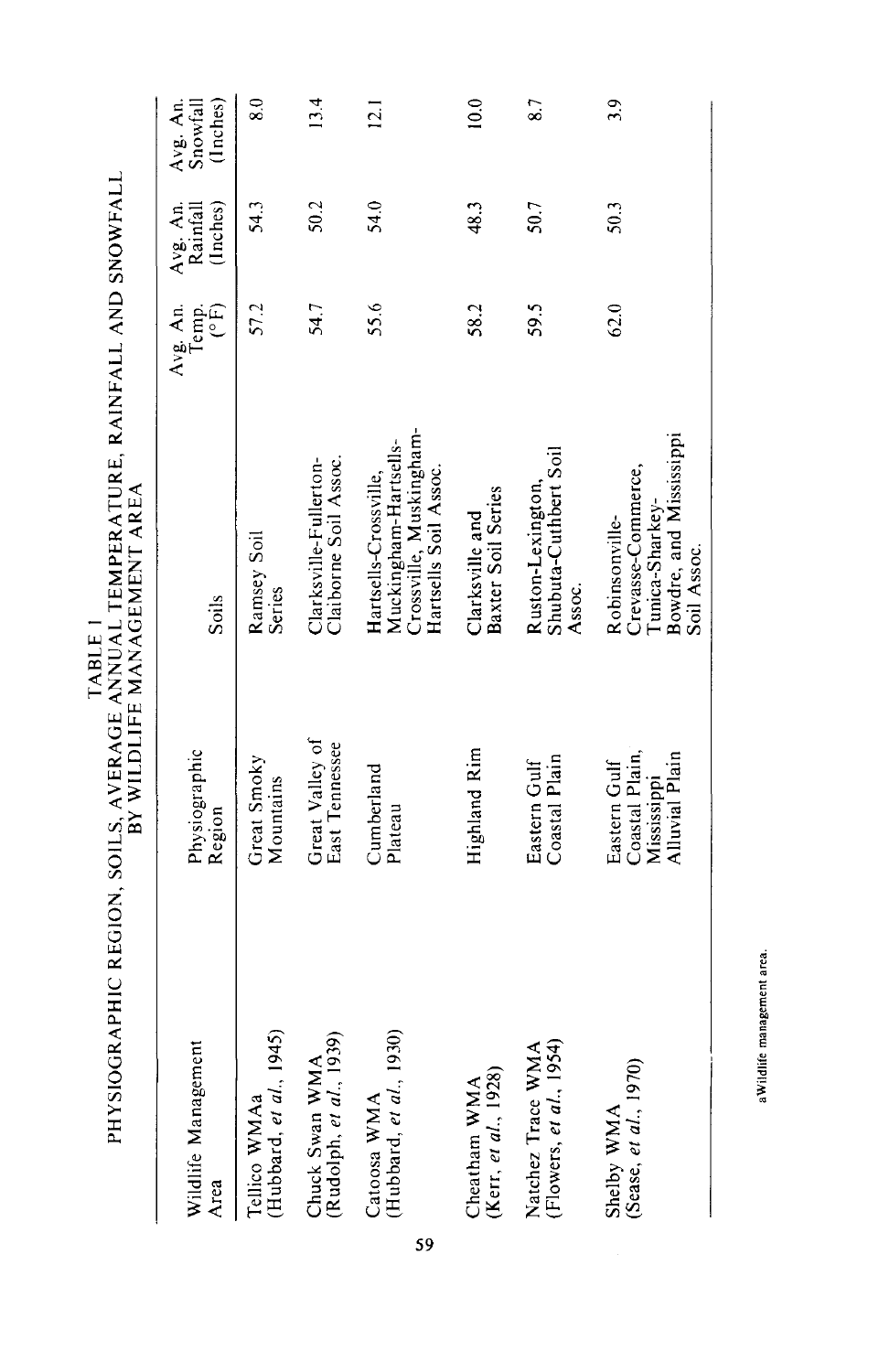|                                                   |                                                                 | DI WILDLIFE MANEMENI AREA                                                                          |                          |                                  |                                  |
|---------------------------------------------------|-----------------------------------------------------------------|----------------------------------------------------------------------------------------------------|--------------------------|----------------------------------|----------------------------------|
| Wildlife Management<br>Area                       | Physiographic<br>Region                                         | Soils                                                                                              | Avg. An.<br>CF)<br>lemp. | (Inches)<br>Avg. An.<br>Rainfall | (Inches)<br>Avg. An.<br>Snowfall |
| (Hubbard, et al., 1945)<br>Tellico WMAa           | Great Smoky<br>Mountains                                        | Ramsey Soil<br><b>Series</b>                                                                       | 57.2                     | 54.3                             | $\frac{8.0}{2}$                  |
| (Rudolph, et al., 1939)<br>Chuck Swan WMA         | Great Valley of<br>East Tennessee                               | Clarksville-Fullerton-<br>Claiborne Soil Assoc.                                                    | 54.7                     | 50.2                             | 13.4                             |
| Catoosa WMA<br>(Hubbard, et al., 1930)<br>59      | Cumberland<br>Plateau                                           | Crossville, Muskingham-<br>Muckingham-Hartsells-<br>Hartsells Soil Assoc.<br>Hartsells-Crossville, | 55.6                     | 54.0                             | $\overline{12.1}$                |
| Cheatham WMA<br>(Kerr, et al., $1928$ )           | Highland Rim                                                    | Baxter Soil Series<br>Clarksville and                                                              | 58.2                     | 48.3                             | 10.0                             |
| (Flowers, et al., 1954)<br>⋖<br>Natchez Trace WM. | Coastal Plain<br>Eastern Gulf                                   | Shubuta-Cuthbert Soil<br>Ruston-Lexington.<br>Assoc.                                               | 59.5                     | 50.7                             | 87                               |
| (Sease, et al., 1970)<br>Shelby WMA               | Coastal Plain,<br>Alluvial Plain<br>Eastern Gulf<br>Mississippi | Bowdre, and Mississippi<br>Crevasse-Commerce,<br>Tunica-Sharkey-<br>Robinsonville-<br>Soil Assoc.  | 62.0                     | 50.3                             | 3.9                              |

TABLE I<br>PHYSIOGRAPHIC REGION, SOILS, AVERAGE ANNUAL TEMPERATURE, RAINFALL AND SNOWFALL<br>DV WILL LEE ANNUAL TEMPERT AREA PHYSIOGRAPHIC REGION, SOILS, AVERAGE ANNUAL TEMPERATURE, RAINFALL AND SNOWFALL BY WILDLIFE MANAGEMENT AREA

aWildlife management area. **aWildlife management area.**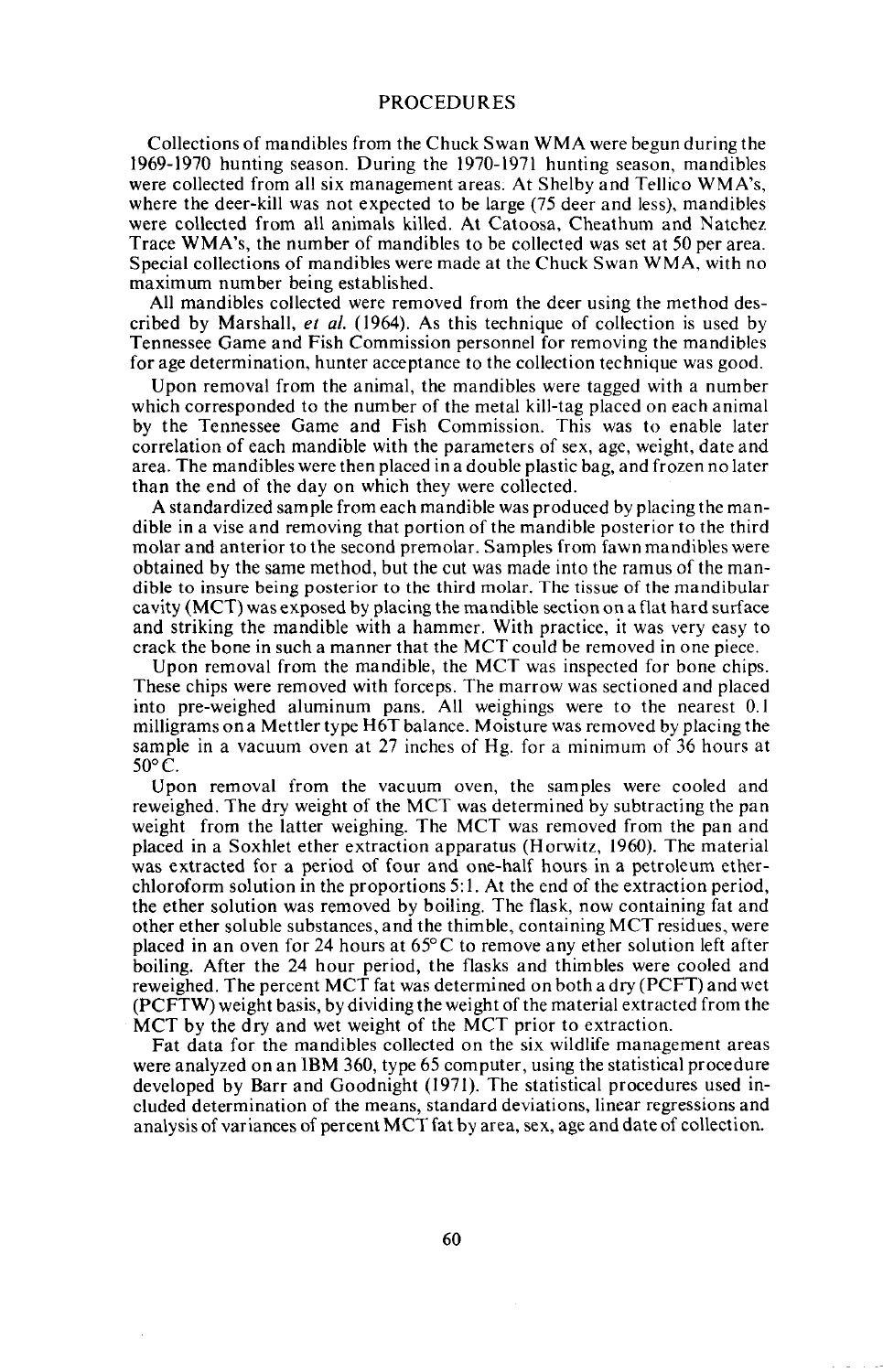#### PROCEDURES

Collections of mandibles from the Chuck Swan WMA were begun during the 1969-1970 hunting season. During the 1970-1971 hunting season, mandibles were collected from all six management areas; At Shelby and Tellico WMA's, where the deer-kill was not expected to be large (75 deer and less), mandibles were collected from all animals killed. At Catoosa, Cheathum and Natchez Trace WMA's, the number of mandibles to be collected was set at 50 per area. Special collections of mandibles were made at the Chuck Swan WMA, with no maximum number being established.

All mandibles collected were removed from the deer using the method described by Marshall, *et al.* (1964). As this technique of collection is used by Tennessee Game and Fish Commission personnel for removing the mandibles for age determination, hunter acceptance to the collection technique was good.

Upon removal from the animal, the mandibles were tagged with a number which corresponded to the number of the metal kill-tag placed on each animal by the Tennessee Game and Fish Commission. This was to enable later correlation of each mandible with the parameters of sex, age, weight, date and area. The mandibles were then placed in a double plastic bag, and frozen no later than the end of the day on which they were collected.

A standardized sample from each mandible was produced by placing the mandible in a vise and removing that portion of the mandible posterior to the third molar and anterior to the second premolar. Samples from fawn mandibles were obtained by the same method, but the cut was made into the ramus of the man- dible to insure being posterior to the third molar. The tissue of the mandibular cavity (MCT) was exposed by placing the mandible section on a flat hard surface and striking the mandible with a hammer. With practice, it was very easy to crack the bone in such a manner that the MCT could be removed in one piece.

Upon removal from the mandible, the MCT was inspected for bone chips. These chips were removed with forceps. The marrow was sectioned and placed into pre-weighed aluminum pans. All weighings were to the nearest 0.1 milligrams on a Mettler type H6T balance. Moisture was removed by placing the sample in a vacuum oven at 27 inches of Hg. for a minimum of 36 hours at 50°C.

Upon removal from the vacuum oven, the samples were cooled and reweighed. The dry weight of the MCT was determined by subtracting the pan weight from the latter weighing. The MCT was removed from the pan and placed in a Soxhlet ether extraction apparatus (Horwitz, 1960). The material was extracted for a period of four and one-half hours in a petroleum etherchloroform solution in the proportions 5: I. At the end of the extraction period, the ether solution was removed by boiling. The flask, now containing fat and other ether soluble substances, and the thimble, containing MCT residues, were placed in an oven for 24 hours at  $65^{\circ}$ C to remove any ether solution left after boiling. After the 24 hour period, the flasks and thimbles were cooled and reweighed. The percent MCT fat was determined on both a dry (PCFT) and wet (PCFTW) weight basis, by dividing the weight of the material extracted from the MCT by the dry and wet weight of the MCT prior to extraction.

Fat data for the mandibles collected on the six wildlife management areas were analyzed on an IBM 360, type 65 computer, using the statistical procedure developed by Barr and Goodnight (1971). The statistical procedures used included determination of the means, standard deviations, linear regressions and analysis of variances of percent MCT fat by area, sex, age and date of collection.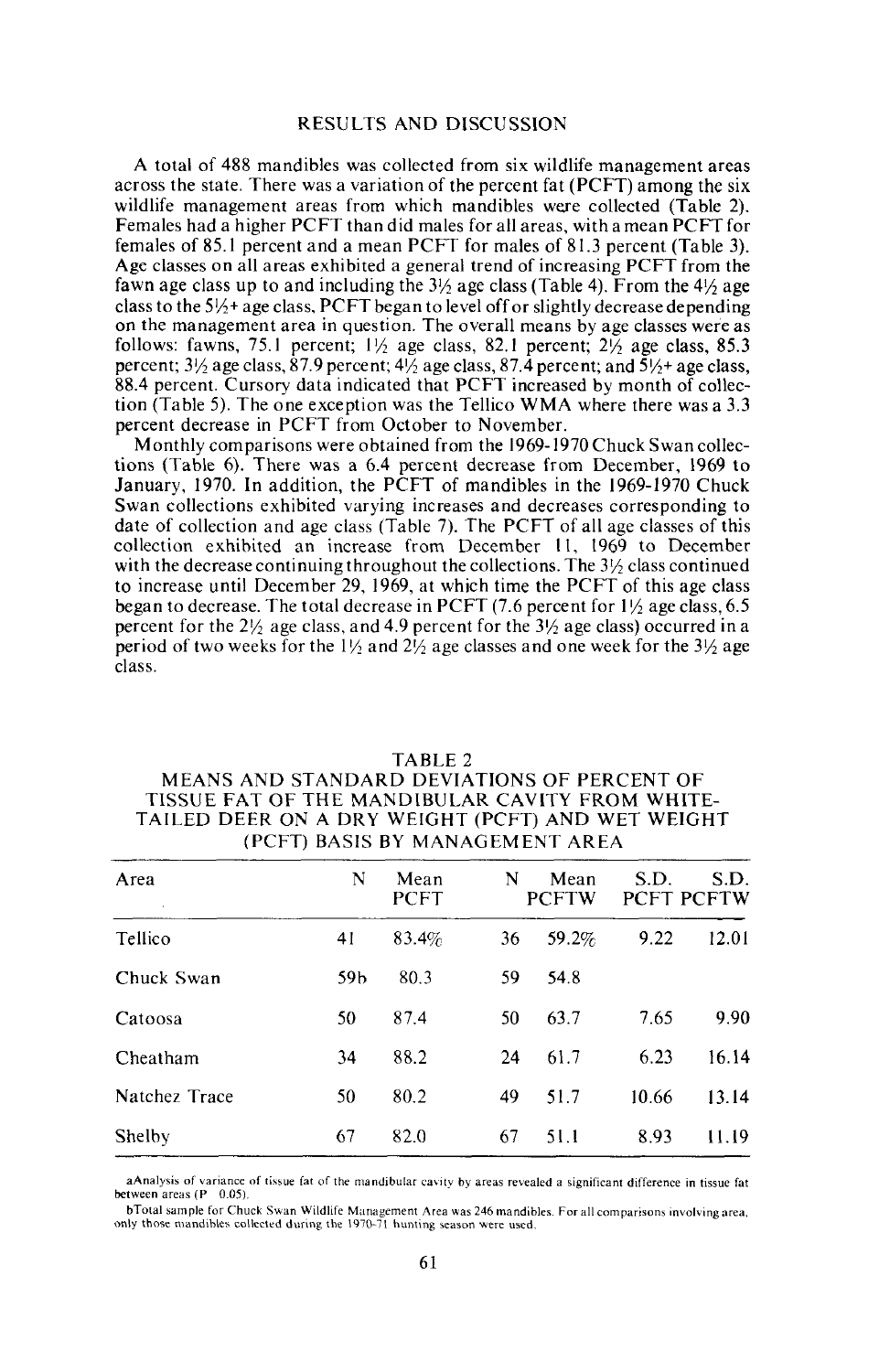#### RESULTS AND DISCUSSION

A total of 488 mandibles was collected from six wildlife management areas across the state. There was a variation of the percent fat (PCFT) among the six wildlife management areas from which mandibles were collected (Table 2). Females had a higher PCFT than did males for all areas, with a mean PCFT for females of 85.1 percent and a mean PCFT for males of 81.3 percent (Table 3). Age classes on all areas exhibited a general trend of increasing PCFT from the fawn age class up to and including the  $3\frac{1}{2}$  age class (Table 4). From the  $4\frac{1}{2}$  age class to the  $5\frac{1}{2}$ + age class, PCFT began to level off or slightly decrease depending on the management area in question. The overall means by age classes were as follows: fawns, 75.1 percent;  $1\frac{1}{2}$  age class, 82.1 percent;  $2\frac{1}{2}$  age class, 85.3 percent;  $3\frac{1}{2}$  age class,  $87.9$  percent;  $4\frac{1}{2}$  age class,  $87.4$  percent; and  $5\frac{1}{2}$ + age class, 88.4 percent. Cursory data indicated that PCFT increased by month of collection (Table 5). The one exception was the Tellico WMA where there was a 3.3 percent decrease in PCFT from October to November.

Monthly comparisons were obtained from the 1969-1970 Chuck Swan collections (Table 6). There was a 6.4 percent decrease from December, 1969 to January, 1970. In addition, the PCFT of mandibles in the 1969-1970 Chuck Swan collections exhibited varying increases and decreases corresponding to date of collection and age class (Table 7). The PCFT of all age classes of this collection exhibited an increase from December II, 1969 to December with the decrease continuing throughout the collections. The  $3\frac{1}{2}$  class continued to increase until December 29,1969, at which time the PCFT of this age class began to decrease. The total decrease in PCFT (7.6 percent for  $1\frac{1}{2}$  age class, 6.5 percent for the  $2\frac{1}{2}$  age class, and 4.9 percent for the  $3\frac{1}{2}$  age class) occurred in a period of two weeks for the  $1\frac{1}{2}$  and  $2\frac{1}{2}$  age classes and one week for the  $3\frac{1}{2}$  age class.

| Area          | N               | Mean<br>PCFT | N  | Mean<br><b>PCFTW</b> | S.D.  | S.D.<br><b>PCFT PCFTW</b> |
|---------------|-----------------|--------------|----|----------------------|-------|---------------------------|
| Tellico       | 41              | 83.4%        | 36 | 59.2%                | 9.22  | 12.01                     |
| Chuck Swan    | 59 <sub>b</sub> | 80.3         | 59 | 54.8                 |       |                           |
| Catoosa       | 50              | 87.4         | 50 | 63.7                 | 7.65  | 9.90                      |
| Cheatham      | 34              | 88.2         | 24 | 61.7                 | 6.23  | 16.14                     |
| Natchez Trace | 50              | 80.2         | 49 | 51.7                 | 10.66 | 13.14                     |
| Shelby        | 67              | 82.0         | 67 | 51.1                 | 8.93  | 11.19                     |

# TABLE 2

# MEANS AND STANDARD DEVIATIONS OF PERCENT OF TISSUE FAT OF THE MANDIBULAR CAVITY FROM WHITE-TAILED DEER ON A DRY WEIGHT (PCFT) AND WET WEIGHT (PCFT) BASIS BY MANAGEMENT AREA

aAnalysis of variance of tissue fat of the mandibular cavity by areas revealed a significant difference in tissue fat between areas (P 0.05).

- bTotal sample for Chuck Swan Wildlife Management Area was 246 mandibles. For all comparisons involving area<br>only those mandibles collected during the 1970-71 hunting season were used.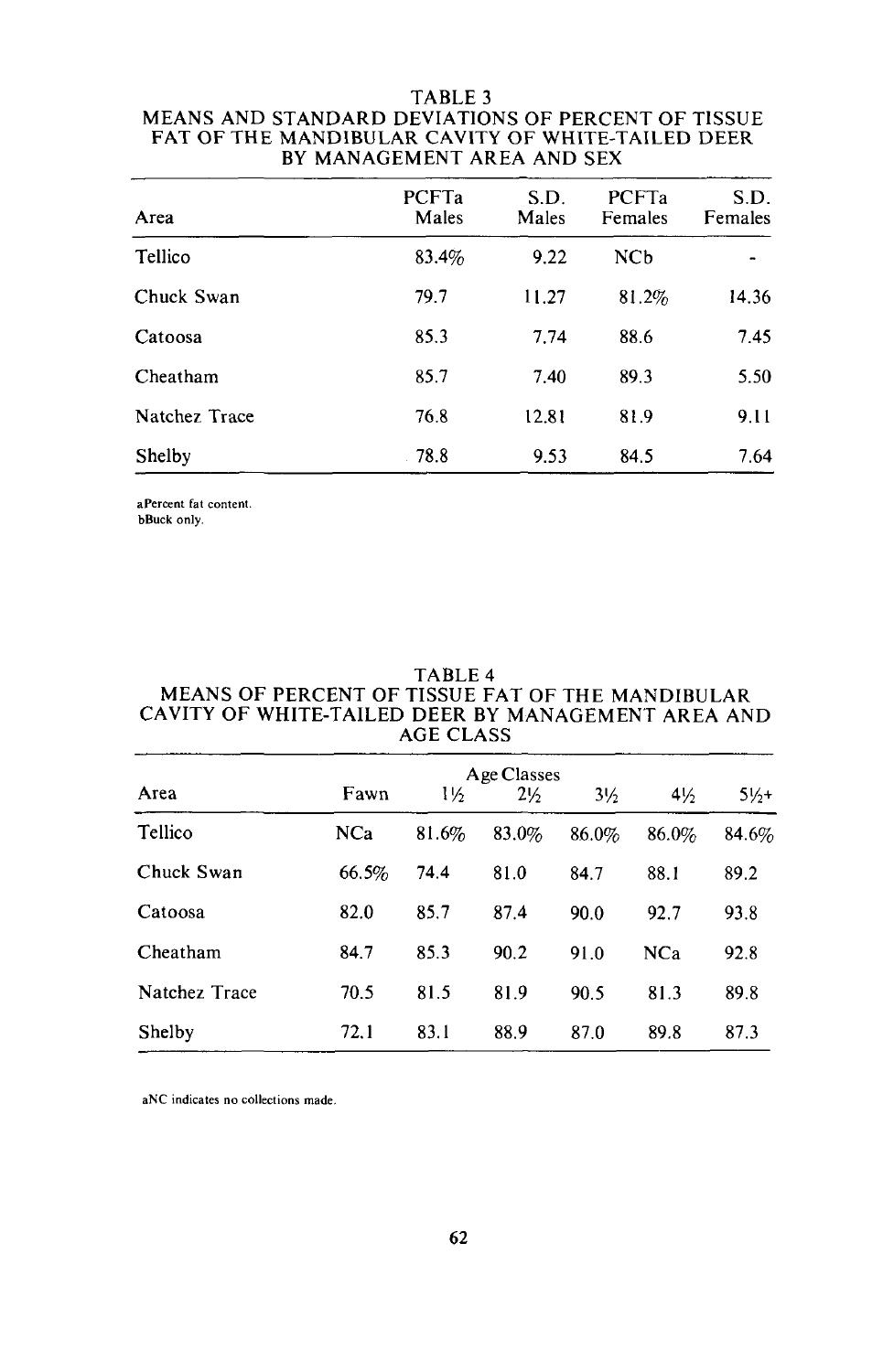## TABLE 3 MEANS AND STANDARD DEVIATIONS OF PERCENT OF TISSUE FAT OF THE MANDIBULAR CAVITY OF WHITE-TAILED DEER BY MANAGEMENT AREA AND SEX

| Area          | PCFTa<br>Males | S.D.<br>Males | PCFTa<br>Females | S.D.<br>Females |
|---------------|----------------|---------------|------------------|-----------------|
| Tellico       | 83.4%          | 9.22          | NCb              |                 |
| Chuck Swan    | 79.7           | 11.27         | 81.2%            | 14.36           |
| Catoosa       | 85.3           | 7.74          | 88.6             | 7.45            |
| Cheatham      | 85.7           | 7.40          | 89.3             | 5.50            |
| Natchez Trace | 76.8           | 12.81         | 81.9             | 9.11            |
| Shelby        | 78.8           | 9.53          | 84.5             | 7.64            |

**aPercent fat content.**

hBuck only.

## TABLE 4 MEANS OF PERCENT OF TISSUE FAT OF THE MANDIBULAR CAVITY OF WHITE-TAILED DEER BY MANAGEMENT AREA AND AGE CLASS

| Area          |            |       | Age Classes    |                |                |         |
|---------------|------------|-------|----------------|----------------|----------------|---------|
|               | Fawn       | 1½    | $2\frac{1}{2}$ | $3\frac{1}{2}$ | $4\frac{1}{2}$ | $51/1+$ |
| Tellico       | <b>NCa</b> | 81.6% | 83.0%          | 86.0%          | 86.0%          | 84.6%   |
| Chuck Swan    | 66.5%      | 74.4  | 81.0           | 84.7           | 88.1           | 89.2    |
| Catoosa       | 82.0       | 85.7  | 87.4           | 90.0           | 92.7           | 93.8    |
| Cheatham      | 84.7       | 85.3  | 90.2           | 91.0           | <b>NCa</b>     | 92.8    |
| Natchez Trace | 70.5       | 81.5  | 81.9           | 90.5           | 81.3           | 89.8    |
| Shelby        | 72.1       | 83.1  | 88.9           | 87.0           | 89.8           | 87.3    |
|               |            |       |                |                |                |         |

**aNC indicates no collections made,**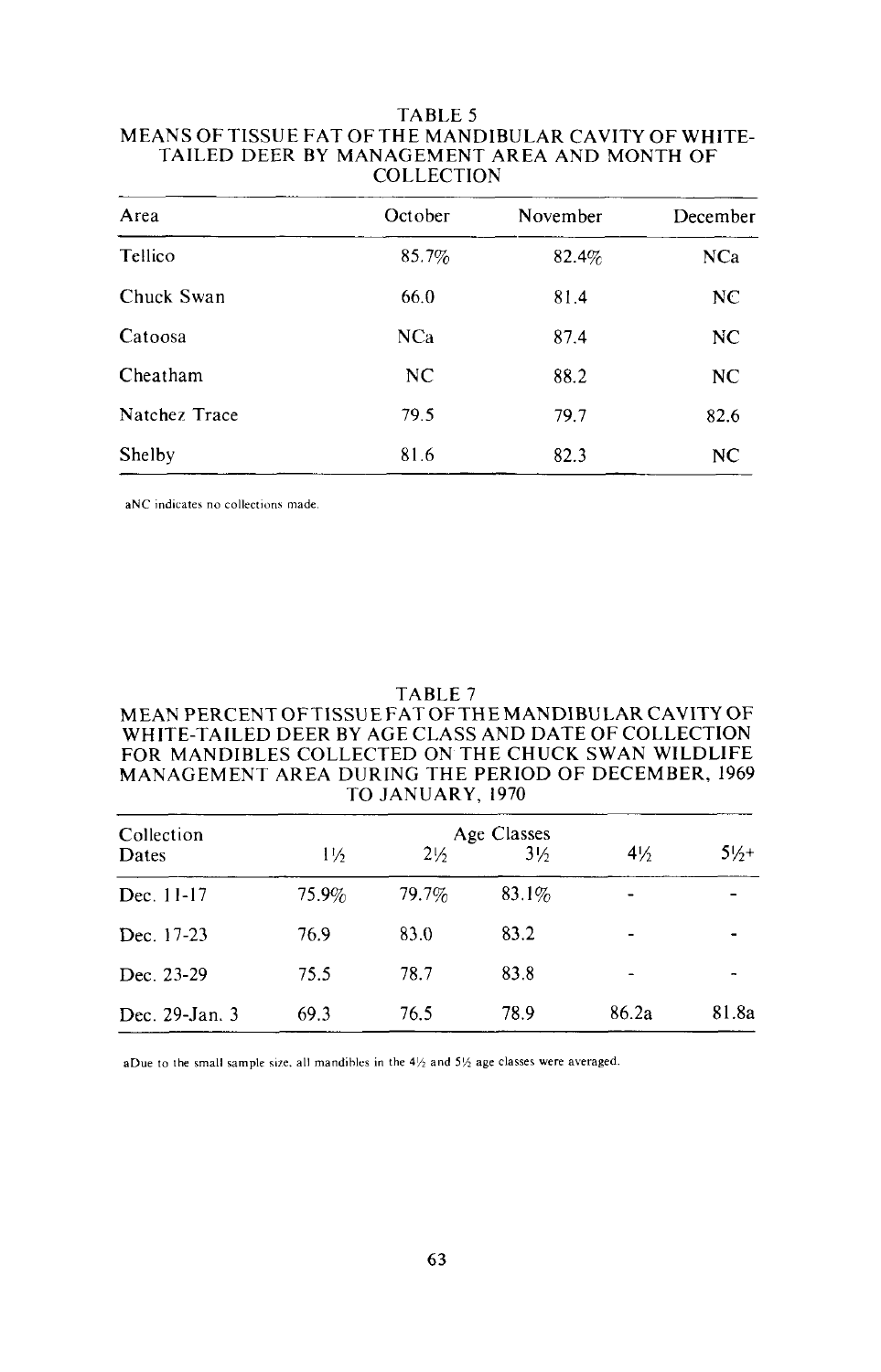## TABLE 5 MEANS OF TISSUE FAT OF THE MANDIBULAR CAVITY OF WHITE-TAILED DEER BY MANAGEMENT AREA AND MONTH OF COLLECTION

| Area          | October    | November | December   |
|---------------|------------|----------|------------|
| Tellico       | 85.7%      | 82.4%    | <b>NCa</b> |
| Chuck Swan    | 66.0       | 81.4     | NC         |
| Catoosa       | <b>NCa</b> | 87.4     | NC         |
| Cheatham      | NC         | 88.2     | NC.        |
| Natchez Trace | 79.5       | 79.7     | 82.6       |
| Shelby        | 81.6       | 82.3     | NC         |

aNC indicates no collections made.

#### TABLE 7 MEAN PERCENT OFTISSUE FATOFTHE MANDIBULAR CAVITY OF WHITE-TAILED DEER BY AGE CLASS AND DATE OF COLLECTION FOR MANDIBLES COLLECTED ON THE CHUCK SWAN WILDLIFE MANAGEMENT AREA DURING THE PERIOD OF DECEMBER, 1969 TO JANUARY, 1970

| Collection     |       | Age Classes    |                |                |       |
|----------------|-------|----------------|----------------|----------------|-------|
| Dates          | 1½    | $2\frac{1}{2}$ | $3\frac{1}{2}$ | $4\frac{1}{2}$ | 51/1  |
| Dec. 11-17     | 75.9% | 79.7%          | $83.1\%$       |                |       |
| Dec. 17-23     | 76.9  | 83.0           | 83.2           |                |       |
| Dec. 23-29     | 75.5  | 78.7           | 83.8           |                |       |
| Dec. 29-Jan. 3 | 69.3  | 76.5           | 78.9           | 86.2a          | 81.8a |

aDue to the small sample size, all mandibles in the  $4\frac{1}{2}$  and  $5\frac{1}{2}$  age classes were averaged.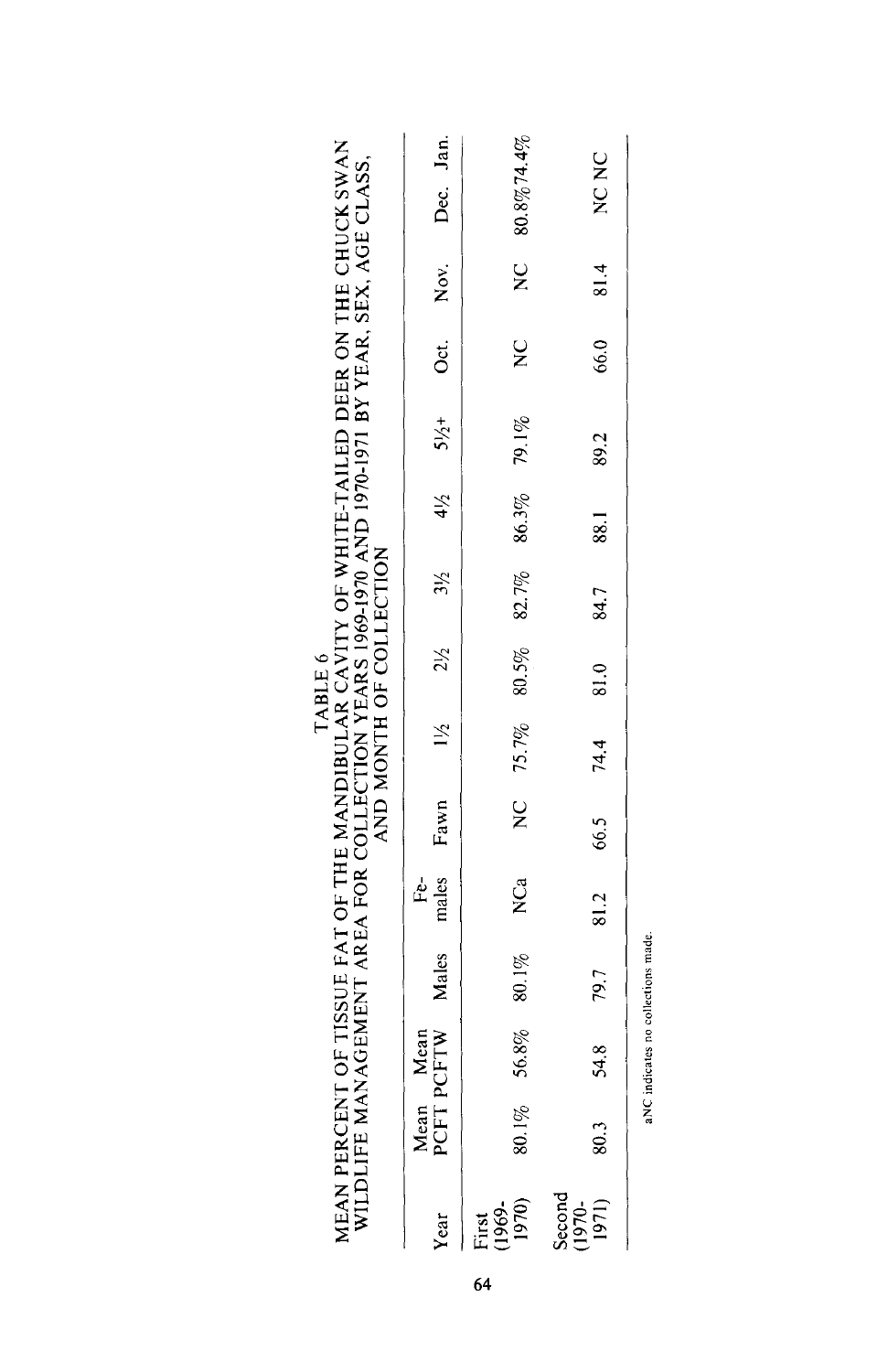|                                                                                                                                                                                                                                              |                                                                                                                               | NC 80.8%74.4%                    | NC NC                     |                                    |
|----------------------------------------------------------------------------------------------------------------------------------------------------------------------------------------------------------------------------------------------|-------------------------------------------------------------------------------------------------------------------------------|----------------------------------|---------------------------|------------------------------------|
|                                                                                                                                                                                                                                              |                                                                                                                               |                                  |                           |                                    |
|                                                                                                                                                                                                                                              |                                                                                                                               |                                  | 81.4                      |                                    |
|                                                                                                                                                                                                                                              |                                                                                                                               | $\frac{C}{Z}$                    | 66.0                      |                                    |
|                                                                                                                                                                                                                                              | Mean<br>PCFTW Males males Fawn $1\frac{1}{2}$ $2\frac{1}{2}$ $3\frac{1}{2}$ $4\frac{1}{2}$ $5\frac{1}{2}$ Oct. Nov. Dec. Jan. |                                  | 89.2                      |                                    |
|                                                                                                                                                                                                                                              |                                                                                                                               | NC 75.7% 80.5% 82.7% 86.3% 79.1% | 88.1                      |                                    |
|                                                                                                                                                                                                                                              |                                                                                                                               |                                  | 84.7                      |                                    |
| T OF TISSUE FAT OF THE MANDIBULAR CAVITY OF WHITE-TAILED DEER ON THE CHUCK SWAN<br>NAGEMENT AREA FOR COLLECTION YEARS 1969-1970 AND 1970-1971 BY YEAR, SEX, AGE CLASS,<br>AND MONTH OF COLLECTION<br>TABLE 6<br>MEAN PERCENT<br>WILDLIFE MAI |                                                                                                                               |                                  | 81.0                      |                                    |
|                                                                                                                                                                                                                                              |                                                                                                                               |                                  |                           |                                    |
|                                                                                                                                                                                                                                              |                                                                                                                               |                                  | 54.8 79.7 81.2 66.5 74.4  |                                    |
|                                                                                                                                                                                                                                              |                                                                                                                               | N <sub>Ca</sub>                  |                           |                                    |
|                                                                                                                                                                                                                                              |                                                                                                                               | 56.8% 80.1%                      |                           | aNC indicates no collections made. |
|                                                                                                                                                                                                                                              |                                                                                                                               |                                  |                           |                                    |
|                                                                                                                                                                                                                                              | Mean<br>PCFT F                                                                                                                | $80.1\%$                         | $\tilde{\rm s}$           |                                    |
|                                                                                                                                                                                                                                              | Year                                                                                                                          | First<br>(1969-<br>1970)         | Second<br>(1970-<br>1971) |                                    |

64

aNC indicates no collections made.aNC indicates no collectiv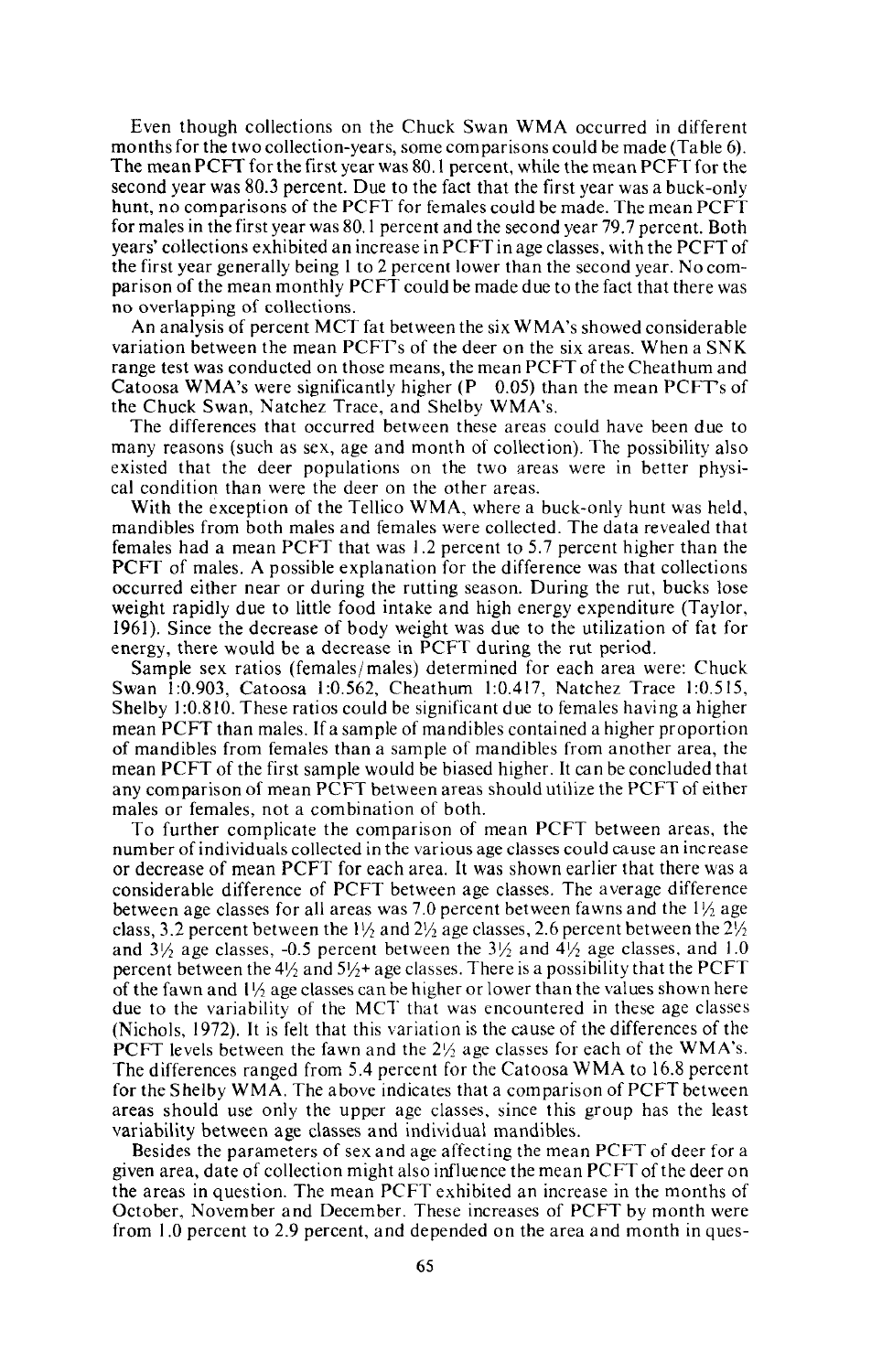Even though collections on the Chuck Swan WMA occurred in different months for the two collection-years, some comparisons could be made (Table 6). The mean PCFT for the first year was 80.1 percent, while the mean PCFTfor the second year was 80.3 percent. Due to the fact that the first year was a buck-only hunt, no comparisons of the PCFT for females could be made. The mean PCFT for males in the first year was 80.1 percent and the second year 79.7 percent. Both years' collections exhibited an increase in PCFT in age classes, with the PCFT of the first year generally being I to 2 percent lower than the second year. No comparison of the mean monthly PCFT could be made due to the fact that there was no overlapping of collections.

An analysis of percent MCT fat between the six WMA's showed considerable variation between the mean PCFTs of the deer on the six areas. When a SNK range test was conducted on those means, the mean PCFT of the Cheathum and Catoosa WMA's were significantly higher  $(P \ 0.05)$  than the mean PCFT's of the Chuck Swan, Natchez Trace, and Shelby WMA's.

The differences that occurred between these areas could have been due to many reasons (such as sex, age and month of collection). The possibility also existed that the deer populations on the two areas were in better physical condition than were the deer on the other areas.

With the exception of the Tellico WMA, where a buck-only hunt was held, mandibles from both males and females were collected. The data revealed that females had a mean PCFT that was 1.2 percent to 5.7 percent higher than the PCFT of males. A possible explanation for the difference was that collections occurred either near or during the rutting season. During the rut, bucks lose weight rapidly due to little food intake and high energy expenditure (Taylor, 1961). Since the decrease of body weight was due to the utilization of fat for energy, there would be a decrease in PCFT during the rut period.

Sample sex ratios (females/ males) determined for each area were: Chuck Swan 1:0.903, Catoosa 1:0.562, Cheathum 1:0.417, Natchez Trace 1:0.515, Shelby 1:0.810. These ratios could be significant due to females having a higher mean PCFT than males. If a sample of mandibles contained a higher proportion of mandibles from females than a sample of mandibles from another area, the mean PCFT of the first sample would be biased higher. It can be concluded that any comparison of mean PCFT between areas should utilize the PCFT of either males or females, not a combination of both.

To further complicate the comparison of mean PCFT between areas, the number of individuals collected in the various age classes could cause an increase or decrease of mean PCFT for each area. It was shown earlier that there was a considerable difference of PCFT between age classes. The average difference between age classes for all areas was 7.0 percent between fawns and the  $1\frac{1}{2}$  age class, 3.2 percent between the  $1\frac{1}{2}$  and  $2\frac{1}{2}$  age classes, 2.6 percent between the  $2\frac{1}{2}$ and 3\/<sub>2</sub> age classes, -0.5 percent between the  $3\frac{1}{2}$  and  $4\frac{1}{2}$  age classes, and 1.0 percent between the  $4\frac{1}{2}$  and  $5\frac{1}{2}$ + age classes. There is a possibility that the PCFT of the fawn and  $1/4$  age classes can be higher or lower than the values shown here due to the variability of the MCT that was encountered in these age classes (Nichols, 1972). It is felt that this variation is the cause of the differences of the PCFT levels between the fawn and the  $2\frac{1}{2}$  age classes for each of the WMA's. The differences ranged from 5.4 percent for the Catoosa WMA to 16.8 percent for the Shelby WMA. The above indicates that a comparison of PCFT between areas should use only the upper age classes, since this group has the least variability between age classes and individual mandibles.

Besides the parameters of sex and age affecting the mean PCFT of deer for a given area, date of collection might also influence the mean PCFT of the deer on the areas in question. The mean PCFT exhibited an increase in the months of October, November and December. These increases of PCFT by month were from 1.0 percent to 2.9 percent, and depended on the area and month in ques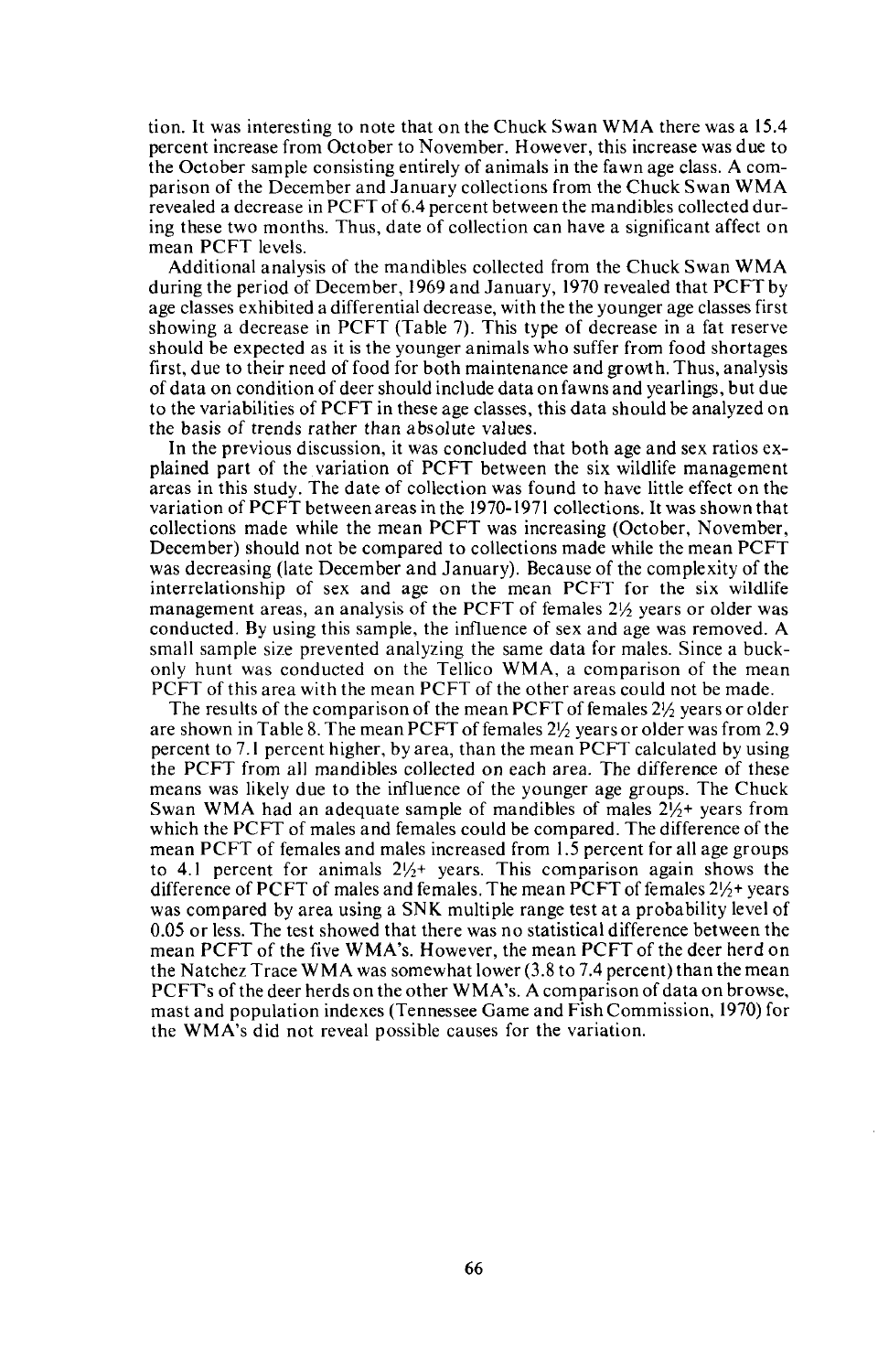tion. It was interesting to note that on the Chuck Swan WMA there was a 15.4 percent increase from October to November. However, this increase was due to the October sample consisting entirely of animals in the fawn age class. A comparison of the December and January collections from the Chuck Swan WMA revealed a decrease in PCFT of 6.4 percent between the mandibles collected during these two months. Thus, date of collection can have a significant affect on mean PCFT levels.

Additional analysis of the mandibles collected from the Chuck Swan WMA during the period of December, 1969 and January, 1970 revealed that PCFT by age classes exhibited a differential decrease, with the the younger age classes first showing a decrease in PCFT (Table 7). This type of decrease in a fat reserve should be expected as it is the younger animals who suffer from food shortages first, due to their need of food for both maintenance and growth. Thus, analysis of data on condition of deer should include data on fawns and yearlings, but due to the variabilities of PCFT in these age classes, this data should be analyzed on the basis of trends rather than absolute values.

In the previous discussion, it was concluded that both age and sex ratios explained part of the variation of PCFT between the six wildlife management areas in this study. The date of collection was found to have little effect on the variation of PCFT between areas in the 1970-1971 collections. It was shown that collections made while the mean PCFT was increasing (October, November, December) should not be compared to collections made while the mean PCFT was decreasing (late December and January). Because of the complexity of the interrelationship of sex and age on the mean PCFT for the six wildlife management areas, an analysis of the PCFT of females  $2\frac{1}{2}$  years or older was conducted. By using this sample, the influence of sex and age was removed. A small sample size prevented analyzing the same data for males. Since a buckonly hunt was conducted on the Tellico WMA, a comparison of the mean PCFT of this area with the mean PCFT of the other areas could not be made.

The results of the comparison of the mean PCFT of females  $2\frac{1}{2}$  years or older are shown in Table 8. The mean PCFT of females  $2\frac{1}{2}$  years or older was from 2.9 percent to 7.1 percent higher, by area, than the mean PCFT calculated by using the PCFT from all mandibles collected on each area. The difference of these means was likely due to the influence of the younger age groups. The Chuck Swan WMA had an adequate sample of mandibles of males  $2\frac{1}{2}$ + years from which the PCFT of males and females could be compared. The difference of the mean PCFT of females and males increased from 1.5 percent for all age groups to 4.1 percent for animals  $2\frac{1}{2}$  years. This comparison again shows the difference of PCFT of males and females. The mean PCFT of females  $2\frac{1}{2}$ + years was compared by area using a SNK multiple range test at a probability level of 0.05 or less. The test showed that there was no statistical difference between the mean PCFT of the five WMA's. However, the mean PCFT of the deer herd on the Natchez Trace WMA was somewhat lower (3.8 to 7.4 percent) than the mean PCFTs of the deer herds on the other WMA's. A comparison of data on browse, mast and population indexes (Tennessee Game and Fish Commission, 1970) for the WMA's did not reveal possible causes for the variation.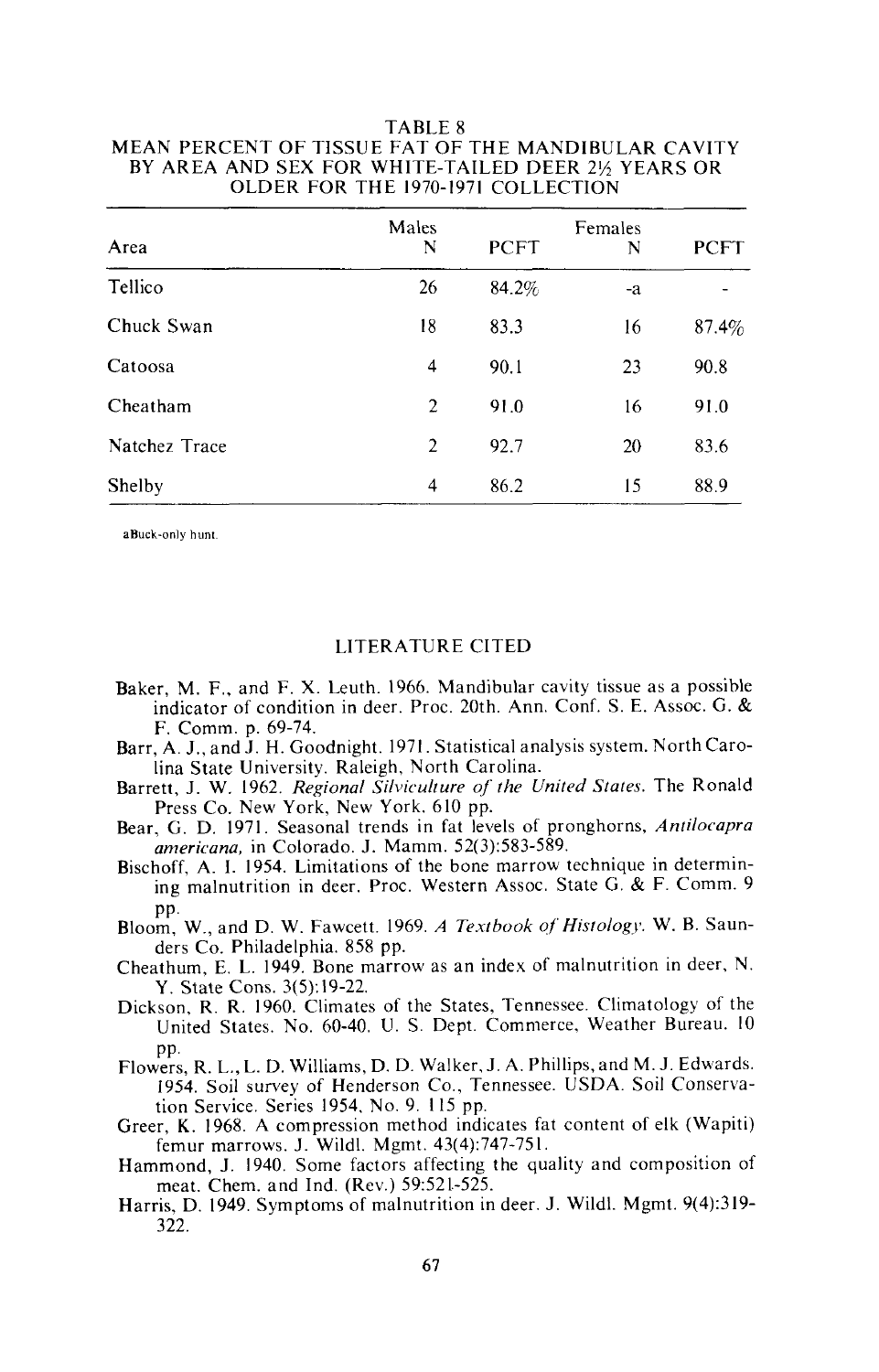| OLDER FOR THE 1970-1971 COLLECTION |            |                             |    |             |  |  |
|------------------------------------|------------|-----------------------------|----|-------------|--|--|
| Area                               | Males<br>N | Females<br><b>PCFT</b><br>N |    | <b>PCFT</b> |  |  |
| Tellico                            | 26         | 84.2%                       | -a |             |  |  |
| Chuck Swan                         | 18         | 83.3                        | 16 | $87.4\%$    |  |  |
| Catoosa                            | 4          | 90.1                        | 23 | 90.8        |  |  |
| Cheatham                           | 2          | 91.0                        | 16 | 91.0        |  |  |
| Natchez Trace                      | 2          | 92.7                        | 20 | 83.6        |  |  |
| Shelby                             | 4          | 86.2                        | 15 | 88.9        |  |  |

# TABLE 8 MEAN PERCENT OF TISSUE FAT OF THE MANDIBULAR CAVITY BY AREA AND SEX FOR WHITE-TAILED DEER 2½ YEARS OR

**aBuck-on]y hunt.**

#### LITERATURE CITED

- Baker, M. F., and F. X. Leuth. 1966. Mandibular cavity tissue as a possible indicator of condition in deer. Proc. 20th. Ann. Conf. S. E. Assoc. G. & F. Comm. p. 69-74.
- Barr, A. J., and J. H. Goodnight. 1971. Statistical analysis system. North Carolina State University. Raleigh, North Carolina.
- Barrett, J. W. 1962. *Regional Silviculture of the United States.* The Ronald Press Co. New York, New York. 610 pp.
- Bear, G. D. 1971. Seasonal trends in fat levels of pronghorns, *Antilocapra americana,* in Colorado. J. Mamm. 52(3):583-589.
- Bischoff, A. I. 1954. Limitations of the bone marrow technique in determining malnutrition in deer. Proc. Western Assoc. State G. & F. Comm. 9 pp.
- Bloom, W., and D. W. Fawcett. 1969. *A Textbook of Histology*. W. B. Saunders Co. Philadelphia. 858 pp.
- Cheathum, E. L. 1949. Bone marrow as an index of malnutrition in deer, N. Y. State Cons. 3(5):19-22.
- Dickson, R. R. 1960. Climates of the States, Tennessee. Climatology of the United States. No. 60-40. U. S. Dept. Commerce, Weather Bureau. 10 pp.
- Flowers, R. **L., L.** D. Williams, D. D. Walker, J. A. Phillips, and M. J. Edwards. 1954. Soil survey of Henderson Co., Tennessee. USDA. Soil Conservation Service. Series 1954. No.9. 115 pp.
- Greer, K. 1968. A compression method indicates fat content of elk (Wapiti) femur marrows. J. Wild\. Mgmt. 43(4):747-751.
- Hammond, J. 1940. Some factors affecting the quality and composition of meat. Chern. and Ind. (Rev.) 59:521-525.
- Harris, D. 1949. Symptoms of malnutrition in deer. J. Wildl. Mgmt. 9(4):319-322.